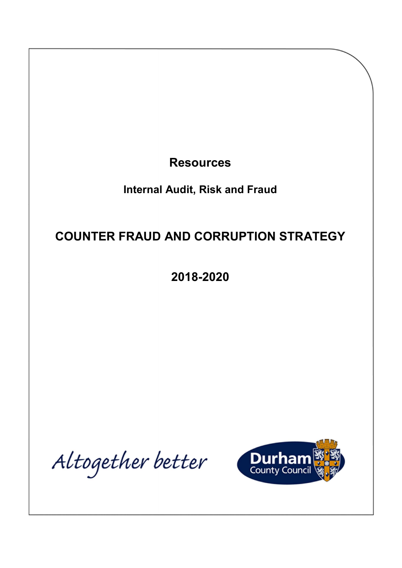**Resources** Internal Audit, Risk and Fraud COUNTER FRAUD AND CORRUPTION STRATEGY 2018-2020

Altogether better

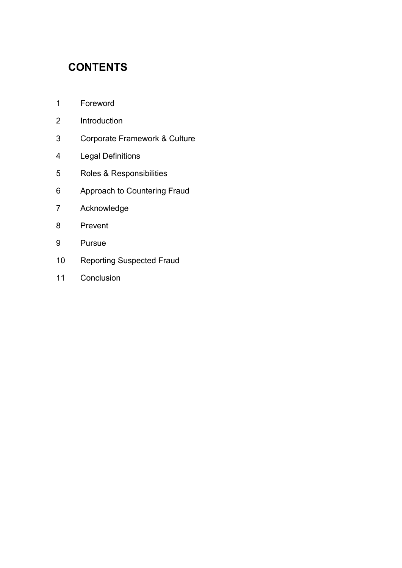# **CONTENTS**

- [1 Foreword](#page-2-0)
- [2 Introduction](#page-3-0)
- [3 Corporate Framework & Culture](#page-5-0)
- [4 Legal Definitions](#page-7-0)
- [5 Roles & Responsibilities](#page-7-0)
- [6 Approach to Countering Fraud](#page-8-0)
- [7 Acknowledge](#page-9-0)
- [8 Prevent](#page-13-0)
- [9 Pursue](#page-19-0)
- [10 Reporting Suspected Fraud](#page-23-0)
- [11 Conclusion](#page-23-0)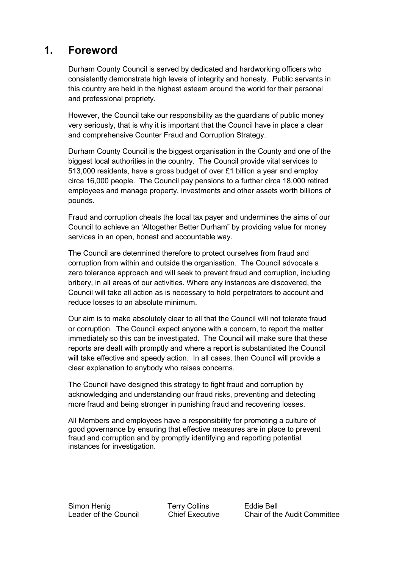## <span id="page-2-0"></span>1. Foreword

Durham County Council is served by dedicated and hardworking officers who consistently demonstrate high levels of integrity and honesty. Public servants in this country are held in the highest esteem around the world for their personal and professional propriety.

However, the Council take our responsibility as the guardians of public money very seriously, that is why it is important that the Council have in place a clear and comprehensive Counter Fraud and Corruption Strategy.

Durham County Council is the biggest organisation in the County and one of the biggest local authorities in the country. The Council provide vital services to 513,000 residents, have a gross budget of over £1 billion a year and employ circa 16,000 people. The Council pay pensions to a further circa 18,000 retired employees and manage property, investments and other assets worth billions of pounds.

 Fraud and corruption cheats the local tax payer and undermines the aims of our Council to achieve an 'Altogether Better Durham" by providing value for money services in an open, honest and accountable way.

 The Council are determined therefore to protect ourselves from fraud and corruption from within and outside the organisation. The Council advocate a zero tolerance approach and will seek to prevent fraud and corruption, including bribery, in all areas of our activities. Where any instances are discovered, the Council will take all action as is necessary to hold perpetrators to account and reduce losses to an absolute minimum.

 Our aim is to make absolutely clear to all that the Council will not tolerate fraud or corruption. The Council expect anyone with a concern, to report the matter immediately so this can be investigated. The Council will make sure that these reports are dealt with promptly and where a report is substantiated the Council will take effective and speedy action. In all cases, then Council will provide a clear explanation to anybody who raises concerns.

 The Council have designed this strategy to fight fraud and corruption by acknowledging and understanding our fraud risks, preventing and detecting more fraud and being stronger in punishing fraud and recovering losses.

All Members and employees have a responsibility for promoting a culture of good governance by ensuring that effective measures are in place to prevent fraud and corruption and by promptly identifying and reporting potential instances for investigation.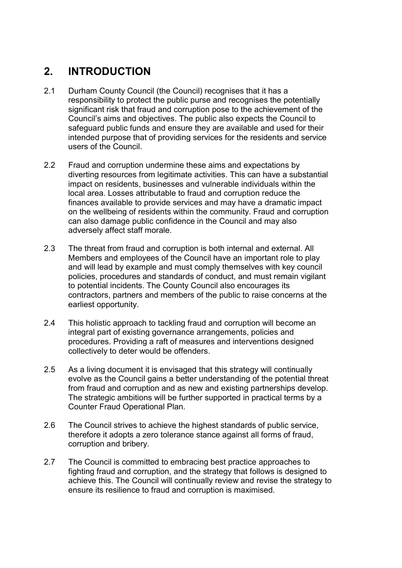## <span id="page-3-0"></span>2. INTRODUCTION

- Durham County Council (the Council) recognises that it has a responsibility to protect the public purse and recognises the potentially significant risk that fraud and corruption pose to the achievement of the Council's aims and objectives. The public also expects the Council to safeguard public funds and ensure they are available and used for their intended purpose that of providing services for the residents and service users of the Council.  $21$
- 2.2 Fraud and corruption undermine these aims and expectations by diverting resources from legitimate activities. This can have a substantial impact on residents, businesses and vulnerable individuals within the local area. Losses attributable to fraud and corruption reduce the finances available to provide services and may have a dramatic impact on the wellbeing of residents within the community. Fraud and corruption can also damage public confidence in the Council and may also adversely affect staff morale.
- 2.3 The threat from fraud and corruption is both internal and external. All Members and employees of the Council have an important role to play and will lead by example and must comply themselves with key council policies, procedures and standards of conduct, and must remain vigilant to potential incidents. The County Council also encourages its contractors, partners and members of the public to raise concerns at the earliest opportunity.
- 2.4 This holistic approach to tackling fraud and corruption will become an integral part of existing governance arrangements, policies and procedures. Providing a raft of measures and interventions designed collectively to deter would be offenders.
- 2.5 As a living document it is envisaged that this strategy will continually evolve as the Council gains a better understanding of the potential threat from fraud and corruption and as new and existing partnerships develop. The strategic ambitions will be further supported in practical terms by a Counter Fraud Operational Plan.
- 2.6 The Council strives to achieve the highest standards of public service, therefore it adopts a zero tolerance stance against all forms of fraud, corruption and bribery.
- 2.7 The Council is committed to embracing best practice approaches to fighting fraud and corruption, and the strategy that follows is designed to achieve this. The Council will continually review and revise the strategy to ensure its resilience to fraud and corruption is maximised.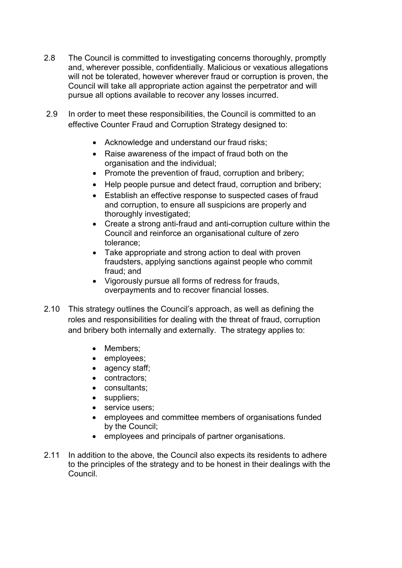- 2.8 The Council is committed to investigating concerns thoroughly, promptly and, wherever possible, confidentially. Malicious or vexatious allegations will not be tolerated, however wherever fraud or corruption is proven, the Council will take all appropriate action against the perpetrator and will pursue all options available to recover any losses incurred.
- 2.9 In order to meet these responsibilities, the Council is committed to an effective Counter Fraud and Corruption Strategy designed to:
	- Acknowledge and understand our fraud risks;
	- Raise awareness of the impact of fraud both on the organisation and the individual;
	- Promote the prevention of fraud, corruption and bribery;
	- Help people pursue and detect fraud, corruption and bribery;
	- Establish an effective response to suspected cases of fraud and corruption, to ensure all suspicions are properly and thoroughly investigated;
	- Create a strong anti-fraud and anti-corruption culture within the Council and reinforce an organisational culture of zero tolerance;
	- Take appropriate and strong action to deal with proven fraudsters, applying sanctions against people who commit fraud; and
	- Vigorously pursue all forms of redress for frauds, overpayments and to recover financial losses.
- 2.10 This strategy outlines the Council's approach, as well as defining the roles and responsibilities for dealing with the threat of fraud, corruption and bribery both internally and externally. The strategy applies to:
	- Members:
	- employees;
	- agency staff;
	- contractors;
	- consultants;
	- suppliers;
	- service users;
	- employees and committee members of organisations funded by the Council;
	- employees and principals of partner organisations.
- 2.11 In addition to the above, the Council also expects its residents to adhere to the principles of the strategy and to be honest in their dealings with the Council.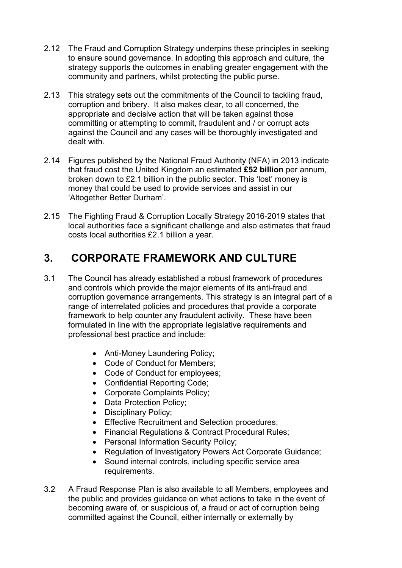- <span id="page-5-0"></span>2.12 The Fraud and Corruption Strategy underpins these principles in seeking to ensure sound governance. In adopting this approach and culture, the strategy supports the outcomes in enabling greater engagement with the community and partners, whilst protecting the public purse.
- 2.13 This strategy sets out the commitments of the Council to tackling fraud, corruption and bribery. It also makes clear, to all concerned, the appropriate and decisive action that will be taken against those committing or attempting to commit, fraudulent and / or corrupt acts against the Council and any cases will be thoroughly investigated and dealt with.
- 2.14 Figures published by the National Fraud Authority (NFA) in 2013 indicate that fraud cost the United Kingdom an estimated £52 billion per annum, broken down to £2.1 billion in the public sector. This 'lost' money is money that could be used to provide services and assist in our 'Altogether Better Durham'.
- 2.15 The Fighting Fraud & Corruption Locally Strategy 2016-2019 states that local authorities face a significant challenge and also estimates that fraud costs local authorities £2.1 billion a year.

## 3. CORPORATE FRAMEWORK AND CULTURE

- 3.1 The Council has already established a robust framework of procedures and controls which provide the major elements of its anti-fraud and corruption governance arrangements. This strategy is an integral part of a range of interrelated policies and procedures that provide a corporate framework to help counter any fraudulent activity. These have been formulated in line with the appropriate legislative requirements and professional best practice and include:
	- Anti-Money Laundering Policy;
	- Code of Conduct for Members;
	- Code of Conduct for employees:
	- Confidential Reporting Code;
	- Corporate Complaints Policy;
	- Data Protection Policy;
	- Disciplinary Policy;
	- Effective Recruitment and Selection procedures;
	- Financial Regulations & Contract Procedural Rules;
	- Personal Information Security Policy;
	- Regulation of Investigatory Powers Act Corporate Guidance;
	- Sound internal controls, including specific service area requirements.
- 3.2 A Fraud Response Plan is also available to all Members, employees and the public and provides guidance on what actions to take in the event of becoming aware of, or suspicious of, a fraud or act of corruption being committed against the Council, either internally or externally by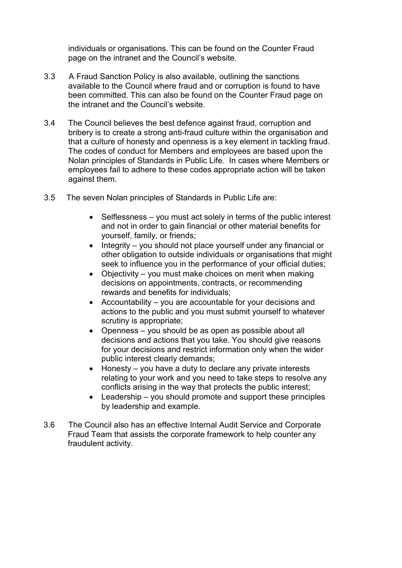individuals or organisations. This can be found on the Counter Fraud page on the intranet and the Council's website.

- 3.3 A Fraud Sanction Policy is also available, outlining the sanctions available to the Council where fraud and or corruption is found to have been committed. This can also be found on the Counter Fraud page on the intranet and the Council's website.
- 3.4 The Council believes the best defence against fraud, corruption and bribery is to create a strong anti-fraud culture within the organisation and that a culture of honesty and openness is a key element in tackling fraud. The codes of conduct for Members and employees are based upon the Nolan principles of Standards in Public Life. In cases where Members or employees fail to adhere to these codes appropriate action will be taken against them.
- 3.5 The seven Nolan principles of Standards in Public Life are:
	- Selflessness you must act solely in terms of the public interest and not in order to gain financial or other material benefits for yourself, family, or friends;
	- Integrity you should not place yourself under any financial or other obligation to outside individuals or organisations that might seek to influence you in the performance of your official duties;
	- Objectivity you must make choices on merit when making decisions on appointments, contracts, or recommending rewards and benefits for individuals;
	- Accountability you are accountable for your decisions and actions to the public and you must submit yourself to whatever scrutiny is appropriate;
	- Openness you should be as open as possible about all decisions and actions that you take. You should give reasons for your decisions and restrict information only when the wider public interest clearly demands;
	- Honesty you have a duty to declare any private interests relating to your work and you need to take steps to resolve any conflicts arising in the way that protects the public interest;
	- Leadership you should promote and support these principles by leadership and example.
- 3.6 The Council also has an effective Internal Audit Service and Corporate Fraud Team that assists the corporate framework to help counter any fraudulent activity.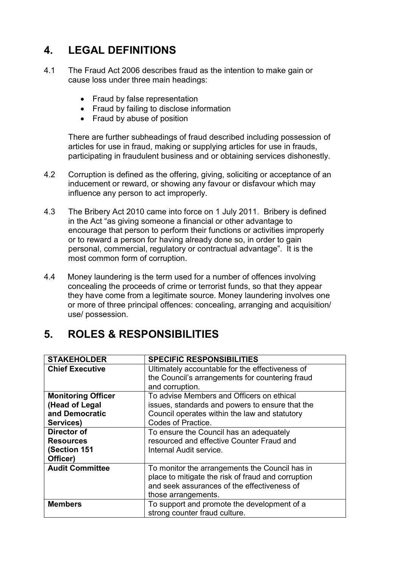## <span id="page-7-0"></span>4. LEGAL DEFINITIONS

- 4.1 The Fraud Act 2006 describes fraud as the intention to make gain or cause loss under three main headings:
	- Fraud by false representation
	- Fraud by failing to disclose information
	- Fraud by abuse of position

There are further subheadings of fraud described including possession of articles for use in fraud, making or supplying articles for use in frauds, participating in fraudulent business and or obtaining services dishonestly.

- 4.2 Corruption is defined as the offering, giving, soliciting or acceptance of an inducement or reward, or showing any favour or disfavour which may influence any person to act improperly.
- 4.3 The Bribery Act 2010 came into force on 1 July 2011. Bribery is defined in the Act "as giving someone a financial or other advantage to encourage that person to perform their functions or activities improperly or to reward a person for having already done so, in order to gain personal, commercial, regulatory or contractual advantage". It is the most common form of corruption.
- 4.4 Money laundering is the term used for a number of offences involving concealing the proceeds of crime or terrorist funds, so that they appear they have come from a legitimate source. Money laundering involves one or more of three principal offences: concealing, arranging and acquisition/ use/ possession.

## 5. ROLES & RESPONSIBILITIES

| <b>STAKEHOLDER</b>        | <b>SPECIFIC RESPONSIBILITIES</b>                   |
|---------------------------|----------------------------------------------------|
| <b>Chief Executive</b>    | Ultimately accountable for the effectiveness of    |
|                           | the Council's arrangements for countering fraud    |
|                           | and corruption.                                    |
| <b>Monitoring Officer</b> | To advise Members and Officers on ethical          |
| (Head of Legal            | issues, standards and powers to ensure that the    |
| and Democratic            | Council operates within the law and statutory      |
| Services)                 | Codes of Practice.                                 |
| Director of               | To ensure the Council has an adequately            |
| <b>Resources</b>          | resourced and effective Counter Fraud and          |
| (Section 151              | Internal Audit service.                            |
| Officer)                  |                                                    |
| <b>Audit Committee</b>    | To monitor the arrangements the Council has in     |
|                           | place to mitigate the risk of fraud and corruption |
|                           | and seek assurances of the effectiveness of        |
|                           | those arrangements.                                |
| <b>Members</b>            | To support and promote the development of a        |
|                           | strong counter fraud culture.                      |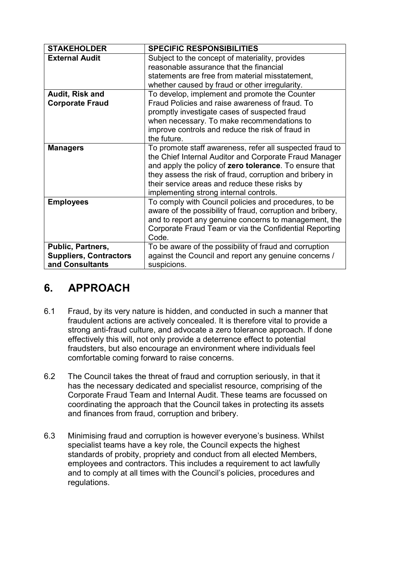<span id="page-8-0"></span>

| <b>STAKEHOLDER</b>                                                    | <b>SPECIFIC RESPONSIBILITIES</b>                                                                                                                                                                                                                                                                                                    |
|-----------------------------------------------------------------------|-------------------------------------------------------------------------------------------------------------------------------------------------------------------------------------------------------------------------------------------------------------------------------------------------------------------------------------|
| <b>External Audit</b>                                                 | Subject to the concept of materiality, provides<br>reasonable assurance that the financial<br>statements are free from material misstatement,<br>whether caused by fraud or other irregularity.                                                                                                                                     |
| Audit, Risk and<br><b>Corporate Fraud</b>                             | To develop, implement and promote the Counter<br>Fraud Policies and raise awareness of fraud. To<br>promptly investigate cases of suspected fraud<br>when necessary. To make recommendations to<br>improve controls and reduce the risk of fraud in<br>the future.                                                                  |
| <b>Managers</b>                                                       | To promote staff awareness, refer all suspected fraud to<br>the Chief Internal Auditor and Corporate Fraud Manager<br>and apply the policy of zero tolerance. To ensure that<br>they assess the risk of fraud, corruption and bribery in<br>their service areas and reduce these risks by<br>implementing strong internal controls. |
| <b>Employees</b>                                                      | To comply with Council policies and procedures, to be<br>aware of the possibility of fraud, corruption and bribery,<br>and to report any genuine concerns to management, the<br>Corporate Fraud Team or via the Confidential Reporting<br>Code.                                                                                     |
| Public, Partners,<br><b>Suppliers, Contractors</b><br>and Consultants | To be aware of the possibility of fraud and corruption<br>against the Council and report any genuine concerns /<br>suspicions.                                                                                                                                                                                                      |

## 6. APPROACH

- 6.1 Fraud, by its very nature is hidden, and conducted in such a manner that fraudulent actions are actively concealed. It is therefore vital to provide a strong anti-fraud culture, and advocate a zero tolerance approach. If done effectively this will, not only provide a deterrence effect to potential fraudsters, but also encourage an environment where individuals feel comfortable coming forward to raise concerns.
- 6.2 and finances from fraud, corruption and bribery. The Council takes the threat of fraud and corruption seriously, in that it has the necessary dedicated and specialist resource, comprising of the Corporate Fraud Team and Internal Audit. These teams are focussed on coordinating the approach that the Council takes in protecting its assets
- 63 regulations.Minimising fraud and corruption is however everyone's business. Whilst specialist teams have a key role, the Council expects the highest standards of probity, propriety and conduct from all elected Members, employees and contractors. This includes a requirement to act lawfully and to comply at all times with the Council's policies, procedures and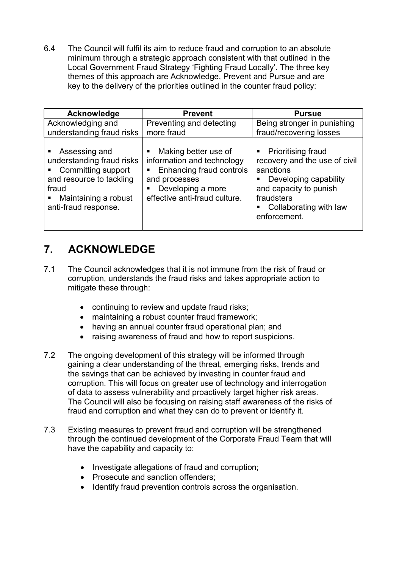<span id="page-9-0"></span>6.4 The Council will fulfil its aim to reduce fraud and corruption to an absolute minimum through a strategic approach consistent with that outlined in the Local Government Fraud Strategy 'Fighting Fraud Locally'. The three key themes of this approach are Acknowledge, Prevent and Pursue and are key to the delivery of the priorities outlined in the counter fraud policy:

| Acknowledge                                                                                                                                                 | <b>Prevent</b>                                                                                                                                                  | <b>Pursue</b>                                                                                                                                                                 |
|-------------------------------------------------------------------------------------------------------------------------------------------------------------|-----------------------------------------------------------------------------------------------------------------------------------------------------------------|-------------------------------------------------------------------------------------------------------------------------------------------------------------------------------|
| Acknowledging and<br>understanding fraud risks                                                                                                              | Preventing and detecting<br>more fraud                                                                                                                          | Being stronger in punishing<br>fraud/recovering losses                                                                                                                        |
| • Assessing and<br>understanding fraud risks<br>• Committing support<br>and resource to tackling<br>fraud<br>■ Maintaining a robust<br>anti-fraud response. | Making better use of<br>٠<br>information and technology<br>Enhancing fraud controls<br>п<br>and processes<br>Developing a more<br>effective anti-fraud culture. | • Prioritising fraud<br>recovery and the use of civil<br>sanctions<br>Developing capability<br>and capacity to punish<br>fraudsters<br>Collaborating with law<br>enforcement. |

## 7. ACKNOWLEDGE

- 7.1 The Council acknowledges that it is not immune from the risk of fraud or corruption, understands the fraud risks and takes appropriate action to mitigate these through:
	- continuing to review and update fraud risks;
	- maintaining a robust counter fraud framework;
	- having an annual counter fraud operational plan; and
	- raising awareness of fraud and how to report suspicions.
- 7.2 The ongoing development of this strategy will be informed through gaining a clear understanding of the threat, emerging risks, trends and the savings that can be achieved by investing in counter fraud and corruption. This will focus on greater use of technology and interrogation of data to assess vulnerability and proactively target higher risk areas. The Council will also be focusing on raising staff awareness of the risks of fraud and corruption and what they can do to prevent or identify it.
- 7.3 Existing measures to prevent fraud and corruption will be strengthened through the continued development of the Corporate Fraud Team that will have the capability and capacity to:
	- Investigate allegations of fraud and corruption;
	- Prosecute and sanction offenders;
	- Identify fraud prevention controls across the organisation.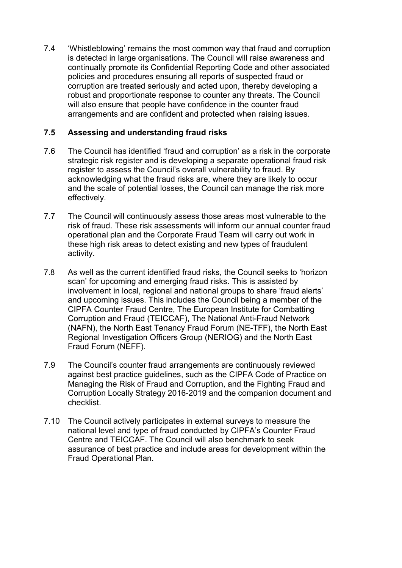$7.4$ 7.4 'Whistleblowing' remains the most common way that fraud and corruption is detected in large organisations. The Council will raise awareness and continually promote its Confidential Reporting Code and other associated policies and procedures ensuring all reports of suspected fraud or corruption are treated seriously and acted upon, thereby developing a robust and proportionate response to counter any threats. The Council will also ensure that people have confidence in the counter fraud arrangements and are confident and protected when raising issues.

### 7.5 Assessing and understanding fraud risks

- $7.6$ The Council has identified 'fraud and corruption' as a risk in the corporate strategic risk register and is developing a separate operational fraud risk register to assess the Council's overall vulnerability to fraud. By acknowledging what the fraud risks are, where they are likely to occur and the scale of potential losses, the Council can manage the risk more effectively.
- 7.7 The Council will continuously assess those areas most vulnerable to the risk of fraud. These risk assessments will inform our annual counter fraud operational plan and the Corporate Fraud Team will carry out work in these high risk areas to detect existing and new types of fraudulent activity.
- 7.8 As well as the current identified fraud risks, the Council seeks to 'horizon scan' for upcoming and emerging fraud risks. This is assisted by involvement in local, regional and national groups to share 'fraud alerts' and upcoming issues. This includes the Council being a member of the CIPFA Counter Fraud Centre, The European Institute for Combatting Corruption and Fraud (TEICCAF), The National Anti-Fraud Network (NAFN), the North East Tenancy Fraud Forum (NE-TFF), the North East Regional Investigation Officers Group (NERIOG) and the North East Fraud Forum (NEFF).
- 7.9 The Council's counter fraud arrangements are continuously reviewed against best practice guidelines, such as the CIPFA Code of Practice on Managing the Risk of Fraud and Corruption, and the Fighting Fraud and Corruption Locally Strategy 2016-2019 and the companion document and checklist.
- 7.10 The Council actively participates in external surveys to measure the national level and type of fraud conducted by CIPFA's Counter Fraud Centre and TEICCAF. The Council will also benchmark to seek assurance of best practice and include areas for development within the Fraud Operational Plan.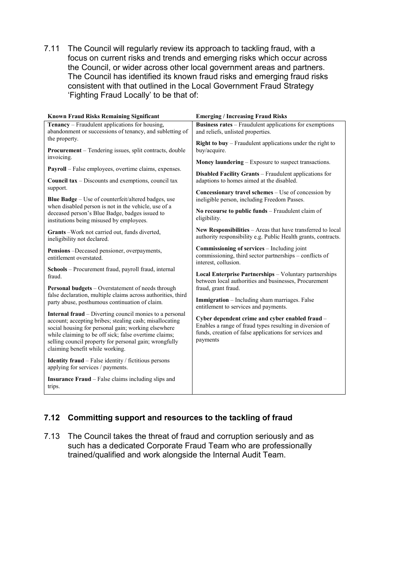7.11 The Council will regularly review its approach to tackling fraud, with a focus on current risks and trends and emerging risks which occur across the Council, or wider across other local government areas and partners. The Council has identified its known fraud risks and emerging fraud risks consistent with that outlined in the Local Government Fraud Strategy 'Fighting Fraud Locally' to be that of:

| <b>Known Fraud Risks Remaining Significant</b>                                                                                                                                                                                                                                                                                         | <b>Emerging / Increasing Fraud Risks</b>                                                                                                                                          |  |
|----------------------------------------------------------------------------------------------------------------------------------------------------------------------------------------------------------------------------------------------------------------------------------------------------------------------------------------|-----------------------------------------------------------------------------------------------------------------------------------------------------------------------------------|--|
| <b>Tenancy</b> – Fraudulent applications for housing,<br>abandonment or successions of tenancy, and subletting of                                                                                                                                                                                                                      | <b>Business rates</b> – Fraudulent applications for exemptions<br>and reliefs, unlisted properties.                                                                               |  |
| the property.<br>Procurement - Tendering issues, split contracts, double                                                                                                                                                                                                                                                               | Right to buy - Fraudulent applications under the right to<br>buy/acquire.                                                                                                         |  |
| invoicing.                                                                                                                                                                                                                                                                                                                             | <b>Money laundering</b> – Exposure to suspect transactions.                                                                                                                       |  |
| Payroll - False employees, overtime claims, expenses.                                                                                                                                                                                                                                                                                  | <b>Disabled Facility Grants</b> – Fraudulent applications for<br>adaptions to homes aimed at the disabled.                                                                        |  |
| <b>Council tax</b> – Discounts and exemptions, council tax                                                                                                                                                                                                                                                                             |                                                                                                                                                                                   |  |
| support.<br><b>Blue Badge</b> – Use of counterfeit/altered badges, use                                                                                                                                                                                                                                                                 | <b>Concessionary travel schemes</b> – Use of concession by<br>ineligible person, including Freedom Passes.                                                                        |  |
| when disabled person is not in the vehicle, use of a<br>deceased person's Blue Badge, badges issued to<br>institutions being misused by employees.                                                                                                                                                                                     | No recourse to public funds - Fraudulent claim of<br>eligibility.                                                                                                                 |  |
| Grants - Work not carried out, funds diverted,<br>ineligibility not declared.                                                                                                                                                                                                                                                          | New Responsibilities - Areas that have transferred to local<br>authority responsibility e.g. Public Health grants, contracts.                                                     |  |
| Pensions -Deceased pensioner, overpayments,<br>entitlement overstated.                                                                                                                                                                                                                                                                 | Commissioning of services - Including joint<br>commissioning, third sector partnerships - conflicts of<br>interest, collusion.                                                    |  |
| Schools - Procurement fraud, payroll fraud, internal<br>fraud.                                                                                                                                                                                                                                                                         | Local Enterprise Partnerships - Voluntary partnerships<br>between local authorities and businesses, Procurement                                                                   |  |
| Personal budgets - Overstatement of needs through                                                                                                                                                                                                                                                                                      | fraud, grant fraud.                                                                                                                                                               |  |
| false declaration, multiple claims across authorities, third<br>party abuse, posthumous continuation of claim.                                                                                                                                                                                                                         | <b>Immigration</b> - Including sham marriages. False<br>entitlement to services and payments.                                                                                     |  |
| <b>Internal fraud</b> – Diverting council monies to a personal<br>account; accepting bribes; stealing cash; misallocating<br>social housing for personal gain; working elsewhere<br>while claiming to be off sick; false overtime claims;<br>selling council property for personal gain; wrongfully<br>claiming benefit while working. | Cyber dependent crime and cyber enabled fraud -<br>Enables a range of fraud types resulting in diversion of<br>funds, creation of false applications for services and<br>payments |  |
| <b>Identity fraud</b> - False identity / fictitious persons<br>applying for services / payments.                                                                                                                                                                                                                                       |                                                                                                                                                                                   |  |
| <b>Insurance Fraud</b> – False claims including slips and<br>trips.                                                                                                                                                                                                                                                                    |                                                                                                                                                                                   |  |

### 7.12 Committing support and resources to the tackling of fraud

7.13 The Council takes the threat of fraud and corruption seriously and as such has a dedicated Corporate Fraud Team who are professionally trained/qualified and work alongside the Internal Audit Team.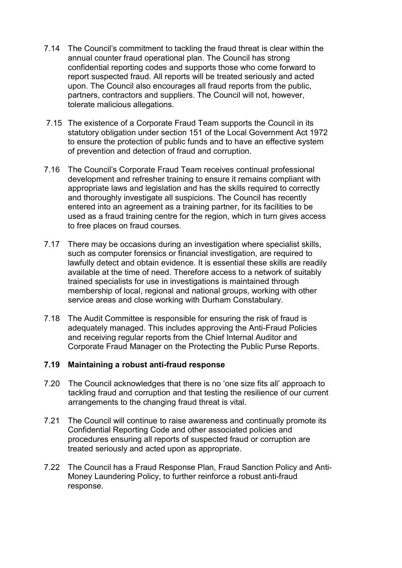- 7.14 The Council's commitment to tackling the fraud threat is clear within the annual counter fraud operational plan. The Council has strong confidential reporting codes and supports those who come forward to report suspected fraud. All reports will be treated seriously and acted upon. The Council also encourages all fraud reports from the public, partners, contractors and suppliers. The Council will not, however, tolerate malicious allegations.
- 7.15 The existence of a Corporate Fraud Team supports the Council in its statutory obligation under section 151 of the Local Government Act 1972 to ensure the protection of public funds and to have an effective system of prevention and detection of fraud and corruption.
- 7.16 The Council's Corporate Fraud Team receives continual professional development and refresher training to ensure it remains compliant with appropriate laws and legislation and has the skills required to correctly and thoroughly investigate all suspicions. The Council has recently entered into an agreement as a training partner, for its facilities to be used as a fraud training centre for the region, which in turn gives access to free places on fraud courses.
- 7.17 There may be occasions during an investigation where specialist skills, such as computer forensics or financial investigation, are required to lawfully detect and obtain evidence. It is essential these skills are readily available at the time of need. Therefore access to a network of suitably trained specialists for use in investigations is maintained through membership of local, regional and national groups, working with other service areas and close working with Durham Constabulary.
- 7.18 The Audit Committee is responsible for ensuring the risk of fraud is adequately managed. This includes approving the Anti-Fraud Policies and receiving regular reports from the Chief Internal Auditor and Corporate Fraud Manager on the Protecting the Public Purse Reports.

#### 7.19 Maintaining a robust anti-fraud response

- 7.20 The Council acknowledges that there is no 'one size fits all' approach to tackling fraud and corruption and that testing the resilience of our current arrangements to the changing fraud threat is vital.
- 7.21 The Council will continue to raise awareness and continually promote its Confidential Reporting Code and other associated policies and procedures ensuring all reports of suspected fraud or corruption are treated seriously and acted upon as appropriate.
- 7.22 The Council has a Fraud Response Plan, Fraud Sanction Policy and Anti-Money Laundering Policy, to further reinforce a robust anti-fraud response.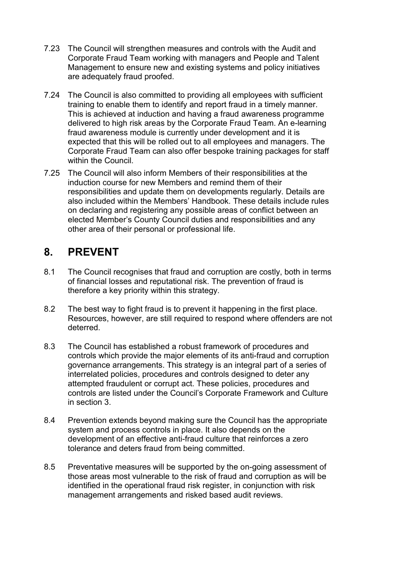- <span id="page-13-0"></span>7.23 The Council will strengthen measures and controls with the Audit and Corporate Fraud Team working with managers and People and Talent Management to ensure new and existing systems and policy initiatives are adequately fraud proofed.
- 7.24 The Council is also committed to providing all employees with sufficient training to enable them to identify and report fraud in a timely manner. This is achieved at induction and having a fraud awareness programme delivered to high risk areas by the Corporate Fraud Team. An e-learning fraud awareness module is currently under development and it is expected that this will be rolled out to all employees and managers. The Corporate Fraud Team can also offer bespoke training packages for staff within the Council.
- 7.25 The Council will also inform Members of their responsibilities at the induction course for new Members and remind them of their responsibilities and update them on developments regularly. Details are also included within the Members' Handbook. These details include rules on declaring and registering any possible areas of conflict between an elected Member's County Council duties and responsibilities and any other area of their personal or professional life.

### 8. PREVENT

- 8.1 The Council recognises that fraud and corruption are costly, both in terms of financial losses and reputational risk. The prevention of fraud is therefore a key priority within this strategy.
- 8.2 The best way to fight fraud is to prevent it happening in the first place. Resources, however, are still required to respond where offenders are not deterred.
- 8.3 The Council has established a robust framework of procedures and controls which provide the major elements of its anti-fraud and corruption governance arrangements. This strategy is an integral part of a series of interrelated policies, procedures and controls designed to deter any attempted fraudulent or corrupt act. These policies, procedures and controls are listed under the Council's Corporate Framework and Culture in section 3.
- 8.4 Prevention extends beyond making sure the Council has the appropriate system and process controls in place. It also depends on the development of an effective anti-fraud culture that reinforces a zero tolerance and deters fraud from being committed.
- 8.5 Preventative measures will be supported by the on-going assessment of those areas most vulnerable to the risk of fraud and corruption as will be identified in the operational fraud risk register, in conjunction with risk management arrangements and risked based audit reviews.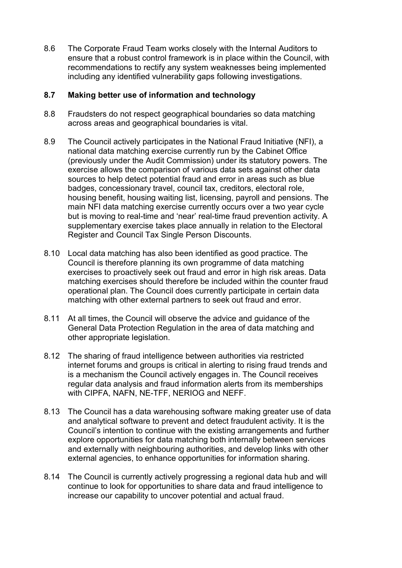8.6 The Corporate Fraud Team works closely with the Internal Auditors to ensure that a robust control framework is in place within the Council, with recommendations to rectify any system weaknesses being implemented including any identified vulnerability gaps following investigations.

#### 8.7 Making better use of information and technology

- 8.8 Fraudsters do not respect geographical boundaries so data matching across areas and geographical boundaries is vital.
- 8.9 The Council actively participates in the National Fraud Initiative (NFI), a national data matching exercise currently run by the Cabinet Office (previously under the Audit Commission) under its statutory powers. The exercise allows the comparison of various data sets against other data sources to help detect potential fraud and error in areas such as blue badges, concessionary travel, council tax, creditors, electoral role, housing benefit, housing waiting list, licensing, payroll and pensions. The main NFI data matching exercise currently occurs over a two year cycle but is moving to real-time and 'near' real-time fraud prevention activity. A supplementary exercise takes place annually in relation to the Electoral Register and Council Tax Single Person Discounts.
- 8.10 Local data matching has also been identified as good practice. The Council is therefore planning its own programme of data matching exercises to proactively seek out fraud and error in high risk areas. Data matching exercises should therefore be included within the counter fraud operational plan. The Council does currently participate in certain data matching with other external partners to seek out fraud and error.
- 8.11 At all times, the Council will observe the advice and guidance of the General Data Protection Regulation in the area of data matching and other appropriate legislation.
- 8.12 The sharing of fraud intelligence between authorities via restricted internet forums and groups is critical in alerting to rising fraud trends and is a mechanism the Council actively engages in. The Council receives regular data analysis and fraud information alerts from its memberships with CIPFA, NAFN, NE-TFF, NERIOG and NEFF.
- 8.13 The Council has a data warehousing software making greater use of data and analytical software to prevent and detect fraudulent activity. It is the Council's intention to continue with the existing arrangements and further explore opportunities for data matching both internally between services and externally with neighbouring authorities, and develop links with other external agencies, to enhance opportunities for information sharing.
- 8.14 The Council is currently actively progressing a regional data hub and will continue to look for opportunities to share data and fraud intelligence to increase our capability to uncover potential and actual fraud.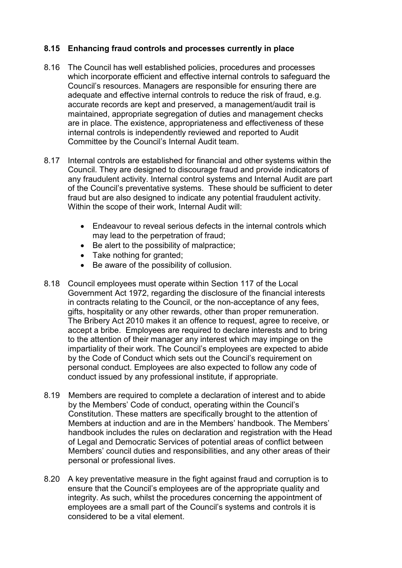### 8.15 Enhancing fraud controls and processes currently in place

- 8.16 The Council has well established policies, procedures and processes which incorporate efficient and effective internal controls to safeguard the Council's resources. Managers are responsible for ensuring there are adequate and effective internal controls to reduce the risk of fraud, e.g. accurate records are kept and preserved, a management/audit trail is maintained, appropriate segregation of duties and management checks are in place. The existence, appropriateness and effectiveness of these internal controls is independently reviewed and reported to Audit Committee by the Council's Internal Audit team.
- 8.17 Internal controls are established for financial and other systems within the Council. They are designed to discourage fraud and provide indicators of any fraudulent activity. Internal control systems and Internal Audit are part of the Council's preventative systems. These should be sufficient to deter fraud but are also designed to indicate any potential fraudulent activity. Within the scope of their work, Internal Audit will:
	- Endeavour to reveal serious defects in the internal controls which may lead to the perpetration of fraud;
	- Be alert to the possibility of malpractice;
	- Take nothing for granted;
	- Be aware of the possibility of collusion.
- 8.18 Council employees must operate within Section 117 of the Local Government Act 1972, regarding the disclosure of the financial interests in contracts relating to the Council, or the non-acceptance of any fees, gifts, hospitality or any other rewards, other than proper remuneration. The Bribery Act 2010 makes it an offence to request, agree to receive, or accept a bribe. Employees are required to declare interests and to bring to the attention of their manager any interest which may impinge on the impartiality of their work. The Council's employees are expected to abide by the Code of Conduct which sets out the Council's requirement on personal conduct. Employees are also expected to follow any code of conduct issued by any professional institute, if appropriate.
- 8.19 Members are required to complete a declaration of interest and to abide by the Members' Code of conduct, operating within the Council's Constitution. These matters are specifically brought to the attention of Members at induction and are in the Members' handbook. The Members' handbook includes the rules on declaration and registration with the Head of Legal and Democratic Services of potential areas of conflict between Members' council duties and responsibilities, and any other areas of their personal or professional lives.
- 8.20 A key preventative measure in the fight against fraud and corruption is to ensure that the Council's employees are of the appropriate quality and integrity. As such, whilst the procedures concerning the appointment of employees are a small part of the Council's systems and controls it is considered to be a vital element.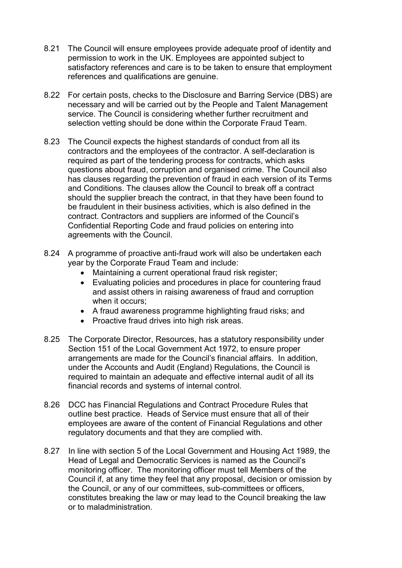- 8.21 The Council will ensure employees provide adequate proof of identity and permission to work in the UK. Employees are appointed subject to satisfactory references and care is to be taken to ensure that employment references and qualifications are genuine.
- 8.22 For certain posts, checks to the Disclosure and Barring Service (DBS) are necessary and will be carried out by the People and Talent Management service. The Council is considering whether further recruitment and selection vetting should be done within the Corporate Fraud Team.
- 8.23 The Council expects the highest standards of conduct from all its contractors and the employees of the contractor. A self-declaration is required as part of the tendering process for contracts, which asks questions about fraud, corruption and organised crime. The Council also has clauses regarding the prevention of fraud in each version of its Terms and Conditions. The clauses allow the Council to break off a contract should the supplier breach the contract, in that they have been found to be fraudulent in their business activities, which is also defined in the contract. Contractors and suppliers are informed of the Council's Confidential Reporting Code and fraud policies on entering into agreements with the Council.
- 8.24 A programme of proactive anti-fraud work will also be undertaken each year by the Corporate Fraud Team and include:
	- Maintaining a current operational fraud risk register;
	- Evaluating policies and procedures in place for countering fraud and assist others in raising awareness of fraud and corruption when it occurs;
	- A fraud awareness programme highlighting fraud risks; and
	- Proactive fraud drives into high risk areas.
- 8.25 The Corporate Director, Resources, has a statutory responsibility under Section 151 of the Local Government Act 1972, to ensure proper arrangements are made for the Council's financial affairs. In addition, under the Accounts and Audit (England) Regulations, the Council is required to maintain an adequate and effective internal audit of all its financial records and systems of internal control.
- 8.26 DCC has Financial Regulations and Contract Procedure Rules that outline best practice. Heads of Service must ensure that all of their employees are aware of the content of Financial Regulations and other regulatory documents and that they are complied with.
- 8.27 In line with section 5 of the Local Government and Housing Act 1989, the Head of Legal and Democratic Services is named as the Council's monitoring officer. The monitoring officer must tell Members of the Council if, at any time they feel that any proposal, decision or omission by the Council, or any of our committees, sub-committees or officers, constitutes breaking the law or may lead to the Council breaking the law or to maladministration.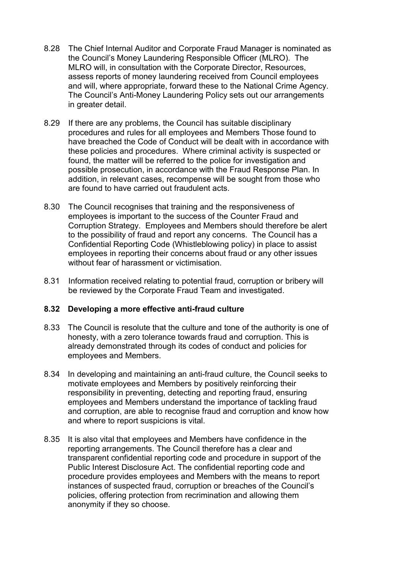- 8.28 The Chief Internal Auditor and Corporate Fraud Manager is nominated as the Council's Money Laundering Responsible Officer (MLRO). The MLRO will, in consultation with the Corporate Director, Resources, assess reports of money laundering received from Council employees and will, where appropriate, forward these to the National Crime Agency. The Council's Anti-Money Laundering Policy sets out our arrangements in greater detail.
- 8.29 If there are any problems, the Council has suitable disciplinary procedures and rules for all employees and Members Those found to have breached the Code of Conduct will be dealt with in accordance with these policies and procedures. Where criminal activity is suspected or found, the matter will be referred to the police for investigation and possible prosecution, in accordance with the Fraud Response Plan. In addition, in relevant cases, recompense will be sought from those who are found to have carried out fraudulent acts.
- 8.30 The Council recognises that training and the responsiveness of employees is important to the success of the Counter Fraud and Corruption Strategy. Employees and Members should therefore be alert to the possibility of fraud and report any concerns. The Council has a Confidential Reporting Code (Whistleblowing policy) in place to assist employees in reporting their concerns about fraud or any other issues without fear of harassment or victimisation.
- 8.31 Information received relating to potential fraud, corruption or bribery will be reviewed by the Corporate Fraud Team and investigated.

#### 8.32 Developing a more effective anti-fraud culture

- 8.33 The Council is resolute that the culture and tone of the authority is one of honesty, with a zero tolerance towards fraud and corruption. This is already demonstrated through its codes of conduct and policies for employees and Members.
- 8.34 In developing and maintaining an anti-fraud culture, the Council seeks to motivate employees and Members by positively reinforcing their responsibility in preventing, detecting and reporting fraud, ensuring employees and Members understand the importance of tackling fraud and corruption, are able to recognise fraud and corruption and know how and where to report suspicions is vital.
- 8.35 It is also vital that employees and Members have confidence in the reporting arrangements. The Council therefore has a clear and transparent confidential reporting code and procedure in support of the Public Interest Disclosure Act. The confidential reporting code and procedure provides employees and Members with the means to report instances of suspected fraud, corruption or breaches of the Council's policies, offering protection from recrimination and allowing them anonymity if they so choose.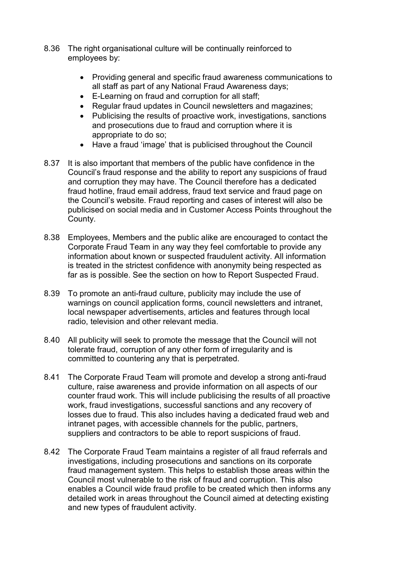- 8.36 The right organisational culture will be continually reinforced to employees by:
	- Providing general and specific fraud awareness communications to all staff as part of any National Fraud Awareness days;
	- E-Learning on fraud and corruption for all staff;
	- Regular fraud updates in Council newsletters and magazines;
	- Publicising the results of proactive work, investigations, sanctions and prosecutions due to fraud and corruption where it is appropriate to do so;
	- Have a fraud 'image' that is publicised throughout the Council
- 8.37 It is also important that members of the public have confidence in the Council's fraud response and the ability to report any suspicions of fraud and corruption they may have. The Council therefore has a dedicated fraud hotline, fraud email address, fraud text service and fraud page on the Council's website. Fraud reporting and cases of interest will also be publicised on social media and in Customer Access Points throughout the County.
- 8.38 Employees, Members and the public alike are encouraged to contact the Corporate Fraud Team in any way they feel comfortable to provide any information about known or suspected fraudulent activity. All information is treated in the strictest confidence with anonymity being respected as far as is possible. See the section on how to Report Suspected Fraud.
- 8.39 To promote an anti-fraud culture, publicity may include the use of warnings on council application forms, council newsletters and intranet, local newspaper advertisements, articles and features through local radio, television and other relevant media.
- 8.40 All publicity will seek to promote the message that the Council will not tolerate fraud, corruption of any other form of irregularity and is committed to countering any that is perpetrated.
- 8.41 The Corporate Fraud Team will promote and develop a strong anti-fraud culture, raise awareness and provide information on all aspects of our counter fraud work. This will include publicising the results of all proactive work, fraud investigations, successful sanctions and any recovery of losses due to fraud. This also includes having a dedicated fraud web and intranet pages, with accessible channels for the public, partners, suppliers and contractors to be able to report suspicions of fraud.
- 8.42 The Corporate Fraud Team maintains a register of all fraud referrals and investigations, including prosecutions and sanctions on its corporate fraud management system. This helps to establish those areas within the Council most vulnerable to the risk of fraud and corruption. This also enables a Council wide fraud profile to be created which then informs any detailed work in areas throughout the Council aimed at detecting existing and new types of fraudulent activity.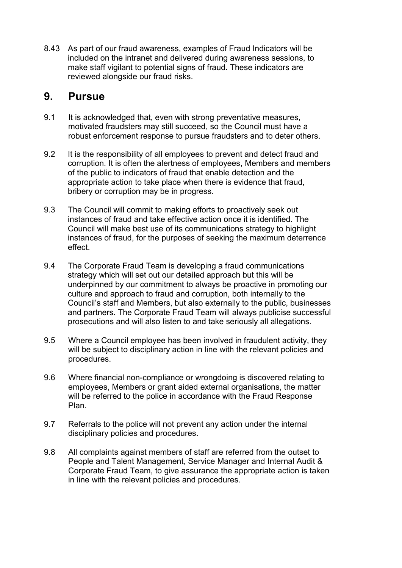<span id="page-19-0"></span>8.43 As part of our fraud awareness, examples of Fraud Indicators will be included on the intranet and delivered during awareness sessions, to make staff vigilant to potential signs of fraud. These indicators are reviewed alongside our fraud risks.

### 9. Pursue

- 9.1 It is acknowledged that, even with strong preventative measures, motivated fraudsters may still succeed, so the Council must have a robust enforcement response to pursue fraudsters and to deter others.
- 9.2 It is the responsibility of all employees to prevent and detect fraud and corruption. It is often the alertness of employees, Members and members of the public to indicators of fraud that enable detection and the appropriate action to take place when there is evidence that fraud, bribery or corruption may be in progress.
- 9.3 The Council will commit to making efforts to proactively seek out instances of fraud and take effective action once it is identified. The Council will make best use of its communications strategy to highlight instances of fraud, for the purposes of seeking the maximum deterrence effect.
- 9.4 The Corporate Fraud Team is developing a fraud communications strategy which will set out our detailed approach but this will be underpinned by our commitment to always be proactive in promoting our culture and approach to fraud and corruption, both internally to the Council's staff and Members, but also externally to the public, businesses and partners. The Corporate Fraud Team will always publicise successful prosecutions and will also listen to and take seriously all allegations.
- 9.5 Where a Council employee has been involved in fraudulent activity, they will be subject to disciplinary action in line with the relevant policies and procedures.
- 9.6 Where financial non-compliance or wrongdoing is discovered relating to employees, Members or grant aided external organisations, the matter will be referred to the police in accordance with the Fraud Response Plan.
- 9.7 Referrals to the police will not prevent any action under the internal disciplinary policies and procedures.
- 9.8 All complaints against members of staff are referred from the outset to People and Talent Management, Service Manager and Internal Audit & Corporate Fraud Team, to give assurance the appropriate action is taken in line with the relevant policies and procedures.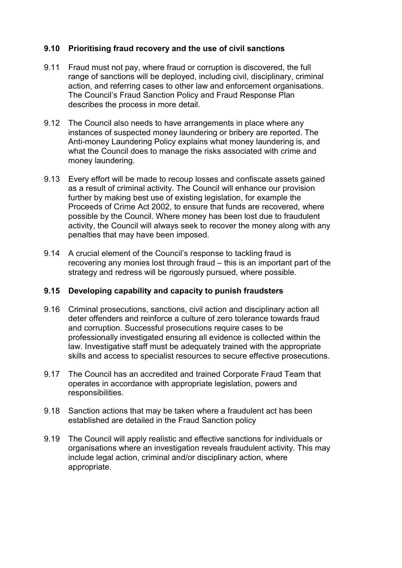### 9.10 Prioritising fraud recovery and the use of civil sanctions

- 9.11 Fraud must not pay, where fraud or corruption is discovered, the full range of sanctions will be deployed, including civil, disciplinary, criminal action, and referring cases to other law and enforcement organisations. The Council's Fraud Sanction Policy and Fraud Response Plan describes the process in more detail.
- 9.12 The Council also needs to have arrangements in place where any instances of suspected money laundering or bribery are reported. The Anti-money Laundering Policy explains what money laundering is, and what the Council does to manage the risks associated with crime and money laundering.
- 9.13 Every effort will be made to recoup losses and confiscate assets gained as a result of criminal activity. The Council will enhance our provision further by making best use of existing legislation, for example the Proceeds of Crime Act 2002, to ensure that funds are recovered, where possible by the Council. Where money has been lost due to fraudulent activity, the Council will always seek to recover the money along with any penalties that may have been imposed.
- 9.14 A crucial element of the Council's response to tackling fraud is recovering any monies lost through fraud – this is an important part of the strategy and redress will be rigorously pursued, where possible.

#### 9.15 Developing capability and capacity to punish fraudsters

- 9.16 Criminal prosecutions, sanctions, civil action and disciplinary action all deter offenders and reinforce a culture of zero tolerance towards fraud and corruption. Successful prosecutions require cases to be professionally investigated ensuring all evidence is collected within the law. Investigative staff must be adequately trained with the appropriate skills and access to specialist resources to secure effective prosecutions.
- 9.17 The Council has an accredited and trained Corporate Fraud Team that operates in accordance with appropriate legislation, powers and responsibilities.
- 9.18 Sanction actions that may be taken where a fraudulent act has been established are detailed in the Fraud Sanction policy
- 9.19 The Council will apply realistic and effective sanctions for individuals or organisations where an investigation reveals fraudulent activity. This may include legal action, criminal and/or disciplinary action, where appropriate.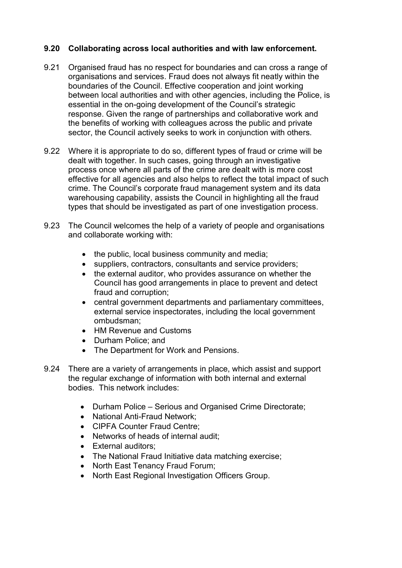### 9.20 Collaborating across local authorities and with law enforcement.

- 9.21 Organised fraud has no respect for boundaries and can cross a range of organisations and services. Fraud does not always fit neatly within the boundaries of the Council. Effective cooperation and joint working between local authorities and with other agencies, including the Police, is essential in the on-going development of the Council's strategic response. Given the range of partnerships and collaborative work and the benefits of working with colleagues across the public and private sector, the Council actively seeks to work in conjunction with others.
- 9.22 Where it is appropriate to do so, different types of fraud or crime will be dealt with together. In such cases, going through an investigative process once where all parts of the crime are dealt with is more cost effective for all agencies and also helps to reflect the total impact of such crime. The Council's corporate fraud management system and its data warehousing capability, assists the Council in highlighting all the fraud types that should be investigated as part of one investigation process.
- 9.23 The Council welcomes the help of a variety of people and organisations and collaborate working with:
	- the public, local business community and media;
	- suppliers, contractors, consultants and service providers;
	- the external auditor, who provides assurance on whether the Council has good arrangements in place to prevent and detect fraud and corruption;
	- central government departments and parliamentary committees, external service inspectorates, including the local government ombudsman;
	- HM Revenue and Customs
	- Durham Police; and
	- The Department for Work and Pensions.
- 9.24 There are a variety of arrangements in place, which assist and support the regular exchange of information with both internal and external bodies. This network includes:
	- Durham Police Serious and Organised Crime Directorate;
	- National Anti-Fraud Network;
	- CIPFA Counter Fraud Centre:
	- Networks of heads of internal audit;
	- External auditors;
	- The National Fraud Initiative data matching exercise:
	- North East Tenancy Fraud Forum;
	- North East Regional Investigation Officers Group.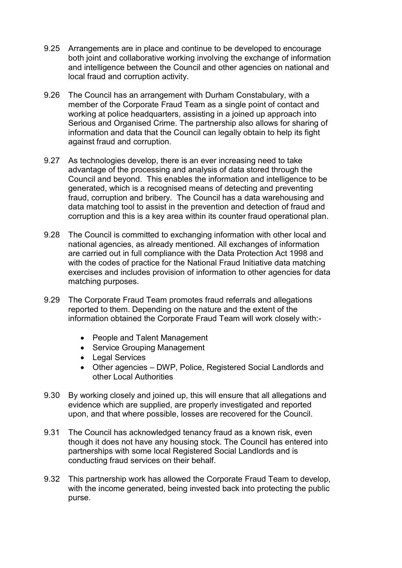- 9.25 Arrangements are in place and continue to be developed to encourage both joint and collaborative working involving the exchange of information and intelligence between the Council and other agencies on national and local fraud and corruption activity.
- 9.26 The Council has an arrangement with Durham Constabulary, with a member of the Corporate Fraud Team as a single point of contact and working at police headquarters, assisting in a joined up approach into Serious and Organised Crime. The partnership also allows for sharing of information and data that the Council can legally obtain to help its fight against fraud and corruption.
- 9.27 As technologies develop, there is an ever increasing need to take advantage of the processing and analysis of data stored through the Council and beyond. This enables the information and intelligence to be generated, which is a recognised means of detecting and preventing fraud, corruption and bribery. The Council has a data warehousing and data matching tool to assist in the prevention and detection of fraud and corruption and this is a key area within its counter fraud operational plan.
- 9.28 The Council is committed to exchanging information with other local and national agencies, as already mentioned. All exchanges of information are carried out in full compliance with the Data Protection Act 1998 and with the codes of practice for the National Fraud Initiative data matching exercises and includes provision of information to other agencies for data matching purposes.
- 9.29 The Corporate Fraud Team promotes fraud referrals and allegations reported to them. Depending on the nature and the extent of the information obtained the Corporate Fraud Team will work closely with:-
	- People and Talent Management
	- Service Grouping Management
	- Legal Services
	- Other agencies DWP, Police, Registered Social Landlords and other Local Authorities
- 9.30 By working closely and joined up, this will ensure that all allegations and evidence which are supplied, are properly investigated and reported upon, and that where possible, losses are recovered for the Council.
- 9.31 The Council has acknowledged tenancy fraud as a known risk, even though it does not have any housing stock. The Council has entered into partnerships with some local Registered Social Landlords and is conducting fraud services on their behalf.
- 9.32 This partnership work has allowed the Corporate Fraud Team to develop, with the income generated, being invested back into protecting the public purse.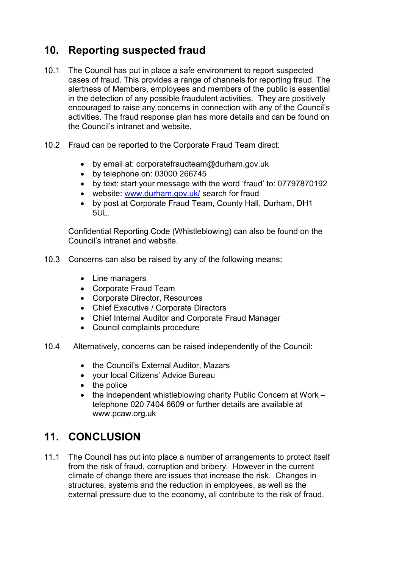## <span id="page-23-0"></span>10. Reporting suspected fraud

- 10.1 The Council has put in place a safe environment to report suspected cases of fraud. This provides a range of channels for reporting fraud. The alertness of Members, employees and members of the public is essential in the detection of any possible fraudulent activities. They are positively encouraged to raise any concerns in connection with any of the Council's activities. The fraud response plan has more details and can be found on the Council's intranet and website.
- 10.2 Fraud can be reported to the Corporate Fraud Team direct:
	- by email at: [corporatefraudteam@durham.gov.uk](Mail to:corporatefraudteam@dhurham.gov.uk)
		- by telephone on: 03000 266745
		- by text: start your message with the word 'fraud' to: 07797870192
		- website: [www.durham.gov.uk/](http://www.dhurham.gov.uk/) search for fraud
		- by post at Corporate Fraud Team, County Hall, Durham, DH1 5UL.

Confidential Reporting Code (Whistleblowing) can also be found on the Council's intranet and website.

- 10.3 Concerns can also be raised by any of the following means;
	- Line managers
	- Corporate Fraud Team
	- Corporate Director, Resources
	- Chief Executive / Corporate Directors
	- Chief Internal Auditor and Corporate Fraud Manager
	- Council complaints procedure
- 10.4 Alternatively, concerns can be raised independently of the Council:
	- the Council's External Auditor, Mazars
	- your local Citizens' Advice Bureau
	- the police
	- the independent whistleblowing charity Public Concern at Work telephone 020 7404 6609 or further details are available at [www.pcaw.org.uk](http://www.pcaw.og.uk)

## 11. CONCLUSION

11.1 The Council has put into place a number of arrangements to protect itself from the risk of fraud, corruption and bribery. However in the current climate of change there are issues that increase the risk. Changes in structures, systems and the reduction in employees, as well as the external pressure due to the economy, all contribute to the risk of fraud.